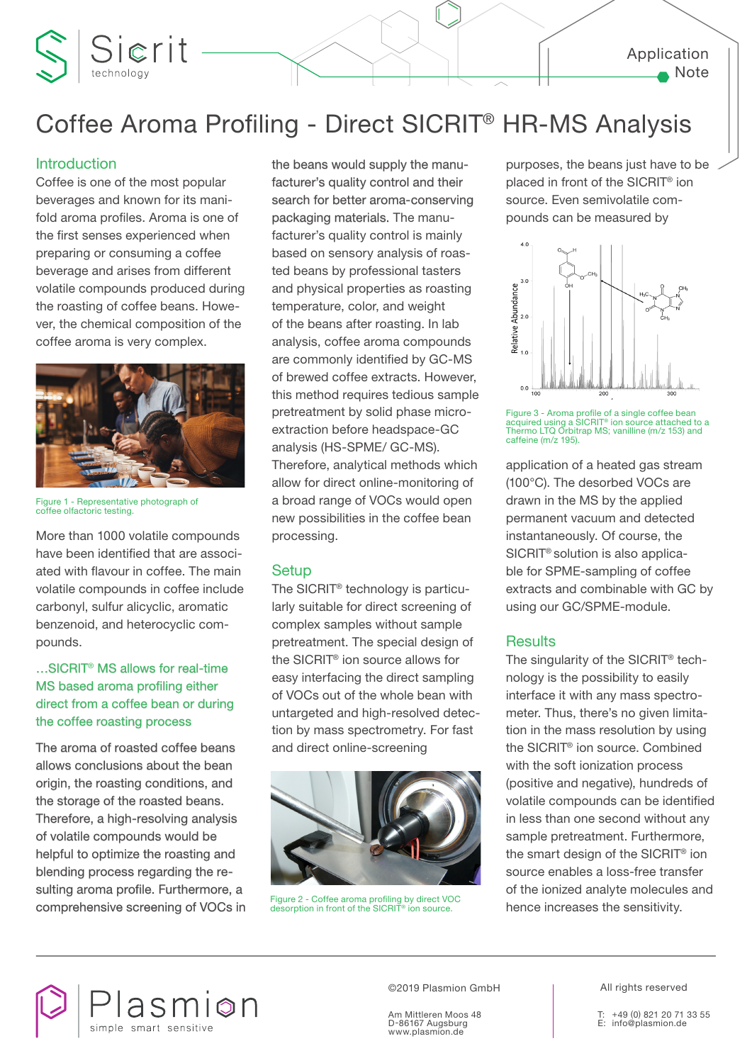# Coffee Aroma Profiling - Direct SICRIT® HR-MS Analysis

### **Introduction**

Coffee is one of the most popular beverages and known for its manifold aroma profiles. Aroma is one of the first senses experienced when preparing or consuming a coffee beverage and arises from different volatile compounds produced during the roasting of coffee beans. However, the chemical composition of the coffee aroma is very complex.

Sierit



Figure 1 - Representative photograph of coffee olfactoric testing.

More than 1000 volatile compounds have been identified that are associated with flavour in coffee. The main volatile compounds in coffee include carbonyl, sulfur alicyclic, aromatic benzenoid, and heterocyclic compounds.

# …SICRIT® MS allows for real-time MS based aroma profiling either direct from a coffee bean or during the coffee roasting process

The aroma of roasted coffee beans allows conclusions about the bean origin, the roasting conditions, and the storage of the roasted beans. Therefore, a high-resolving analysis of volatile compounds would be helpful to optimize the roasting and blending process regarding the resulting aroma profile. Furthermore, a comprehensive screening of VOCs in the beans would supply the manufacturer's quality control and their search for better aroma-conserving packaging materials. The manufacturer's quality control is mainly based on sensory analysis of roasted beans by professional tasters and physical properties as roasting temperature, color, and weight of the beans after roasting. In lab analysis, coffee aroma compounds are commonly identified by GC-MS of brewed coffee extracts. However, this method requires tedious sample pretreatment by solid phase microextraction before headspace-GC analysis (HS-SPME/ GC-MS). Therefore, analytical methods which allow for direct online-monitoring of a broad range of VOCs would open new possibilities in the coffee bean processing.

# **Setup**

The SICRIT® technology is particularly suitable for direct screening of complex samples without sample pretreatment. The special design of the SICRIT® ion source allows for easy interfacing the direct sampling of VOCs out of the whole bean with untargeted and high-resolved detection by mass spectrometry. For fast and direct online-screening



purposes, the beans just have to be placed in front of the SICRIT® ion source. Even semivolatile compounds can be measured by



Figure 3 - Aroma profile of a single coffee bean acquired using a SICRIT® ion source attached to a Thermo LTQ Orbitrap MS; vanilline (m/z 153) and caffeine (m/z 195).

application of a heated gas stream (100°C). The desorbed VOCs are drawn in the MS by the applied permanent vacuum and detected instantaneously. Of course, the SICRIT® solution is also applicable for SPME-sampling of coffee extracts and combinable with GC by using our GC/SPME-module.

# **Results**

The singularity of the SICRIT® technology is the possibility to easily interface it with any mass spectrometer. Thus, there's no given limitation in the mass resolution by using the SICRIT® ion source. Combined with the soft ionization process (positive and negative), hundreds of volatile compounds can be identified in less than one second without any sample pretreatment. Furthermore, the smart design of the SICRIT® ion source enables a loss-free transfer of the ionized analyte molecules and Figure 2 - Coffee aroma profiling by direct VOC<br>desorption in front of the SICRIT® ion source. **hence increases the sensitivity.** 



©2019 Plasmion GmbH | All rights reserved

Am Mittleren Moos 48 D-86167 Augsburg www.plasmion.de

T: +49 (0) 821 20 71 33 55 E: info@plasmion.de